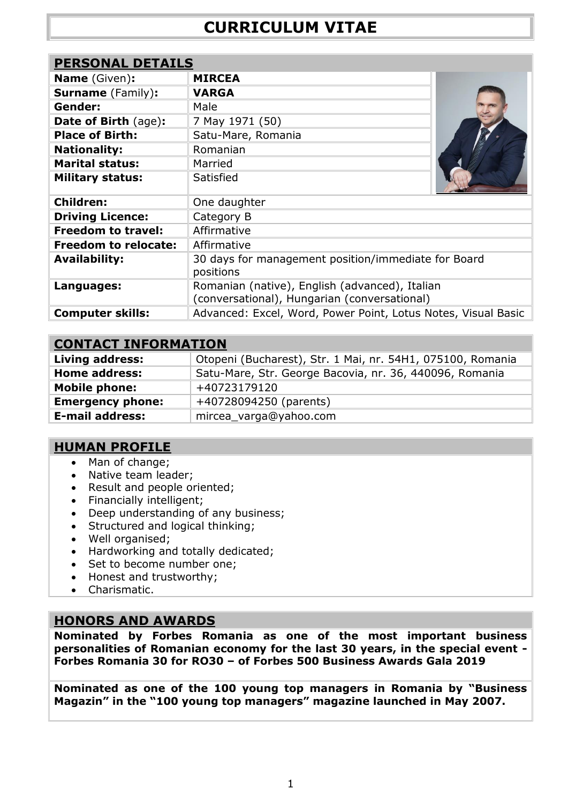| <b>PERSONAL DETAILS</b>     |                                                                                                |
|-----------------------------|------------------------------------------------------------------------------------------------|
| <b>Name</b> (Given):        | <b>MIRCEA</b>                                                                                  |
| <b>Surname</b> (Family):    | <b>VARGA</b>                                                                                   |
| Gender:                     | Male                                                                                           |
| Date of Birth (age):        | 7 May 1971 (50)                                                                                |
| <b>Place of Birth:</b>      | Satu-Mare, Romania                                                                             |
| <b>Nationality:</b>         | Romanian                                                                                       |
| <b>Marital status:</b>      | Married                                                                                        |
| <b>Military status:</b>     | Satisfied                                                                                      |
| <b>Children:</b>            | One daughter                                                                                   |
| <b>Driving Licence:</b>     | Category B                                                                                     |
| <b>Freedom to travel:</b>   | Affirmative                                                                                    |
| <b>Freedom to relocate:</b> | Affirmative                                                                                    |
| <b>Availability:</b>        | 30 days for management position/immediate for Board<br>positions                               |
| Languages:                  | Romanian (native), English (advanced), Italian<br>(conversational), Hungarian (conversational) |
| <b>Computer skills:</b>     | Advanced: Excel, Word, Power Point, Lotus Notes, Visual Basic                                  |

# **[CONTACT INFORMATION](http://www.hr-romania.ro/jobseeker/cv/updateCV.php?_step=1)**

| <b>Living address:</b>  | Otopeni (Bucharest), Str. 1 Mai, nr. 54H1, 075100, Romania |  |
|-------------------------|------------------------------------------------------------|--|
| <b>Home address:</b>    | Satu-Mare, Str. George Bacovia, nr. 36, 440096, Romania    |  |
| <b>Mobile phone:</b>    | +40723179120                                               |  |
| <b>Emergency phone:</b> | +40728094250 (parents)                                     |  |
| <b>E-mail address:</b>  | mircea_varga@yahoo.com                                     |  |

# **HUMAN PROFILE**

- Man of change;
- Native team leader;
- Result and people oriented;
- Financially intelligent;
- Deep understanding of any business;
- Structured and logical thinking;
- Well organised;
- Hardworking and totally dedicated;
- Set to become number one;
- Honest and trustworthy;
- Charismatic.

# **HONORS AND AWARDS**

**Nominated by Forbes Romania as one of the most important business personalities of Romanian economy for the last 30 years, in the special event - Forbes Romania 30 for RO30 – of Forbes 500 Business Awards Gala 2019**

**Nominated as one of the 100 young top managers in Romania by "Business Magazin" in the "100 young top managers" magazine launched in May 2007.**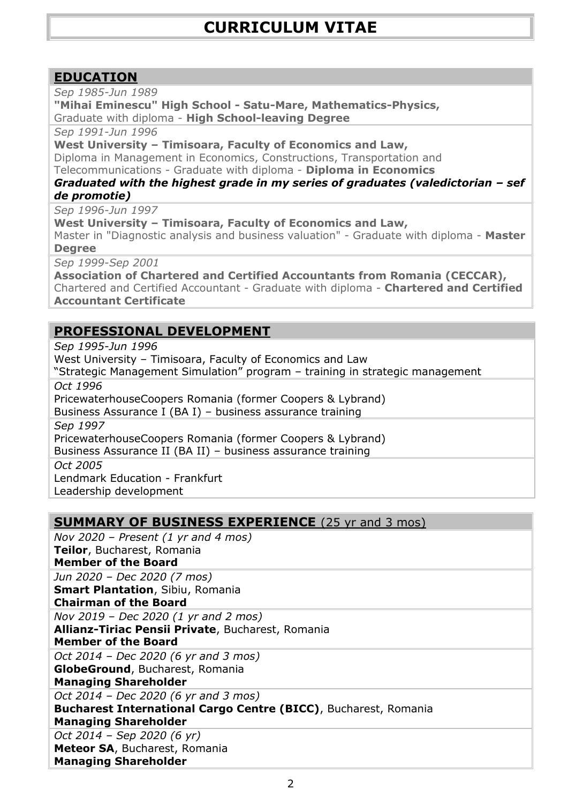# **[EDUCATION](http://www.hr-romania.ro/jobseeker/cv/updateCV.php?_step=1)**

*Sep 1985-Jun 1989*

**"Mihai Eminescu" High School - Satu-Mare, Mathematics-Physics,** Graduate with diploma - **High School-leaving Degree**

*Sep 1991-Jun 1996*

**West University – Timisoara, Faculty of Economics and Law,**

Diploma in Management in Economics, Constructions, Transportation and Telecommunications - Graduate with diploma - **Diploma in Economics**

#### *Graduated with the highest grade in my series of graduates (valedictorian – sef de promotie)*

*Sep 1996-Jun 1997*

**West University – Timisoara, Faculty of Economics and Law,**

Master in "Diagnostic analysis and business valuation" - Graduate with diploma - **Master Degree**

*Sep 1999-Sep 2001*

**Association of Chartered and Certified Accountants from Romania (CECCAR),** Chartered and Certified Accountant - Graduate with diploma - **Chartered and Certified Accountant Certificate**

# **[PROFESSIONAL](http://www.hr-romania.ro/jobseeker/cv/updateCV.php?_step=1) DEVELOPMENT**

*Sep 1995-Jun 1996*

West University – Timisoara, Faculty of Economics and Law

"Strategic Management Simulation" program – training in strategic management *Oct 1996*

PricewaterhouseCoopers Romania (former Coopers & Lybrand)

Business Assurance I (BA I) – business assurance training

*Sep 1997*

PricewaterhouseCoopers Romania (former Coopers & Lybrand)

Business Assurance II (BA II) – business assurance training

*Oct 2005*

Lendmark Education - Frankfurt

Leadership development

# **SUMMARY OF BUSINESS EXPERIENCE** (25 yr and 3 mos)

*Nov 2020 – Present (1 yr and 4 mos)* **Teilor**, Bucharest, Romania **Member of the Board**

*Jun 2020 – Dec 2020 (7 mos)*

**Smart Plantation**, Sibiu, Romania

**Chairman of the Board**

*Nov 2019 – Dec 2020 (1 yr and 2 mos)* **Allianz-Tiriac Pensii Private**, Bucharest, Romania

**Member of the Board**

*Oct 2014 – Dec 2020 (6 yr and 3 mos)* **GlobeGround**, Bucharest, Romania

# **Managing Shareholder**

*Oct 2014 – Dec 2020 (6 yr and 3 mos)*

**Bucharest International Cargo Centre (BICC)**, Bucharest, Romania **Managing Shareholder**

*Oct 2014 – Sep 2020 (6 yr)* **Meteor SA**, Bucharest, Romania **Managing Shareholder**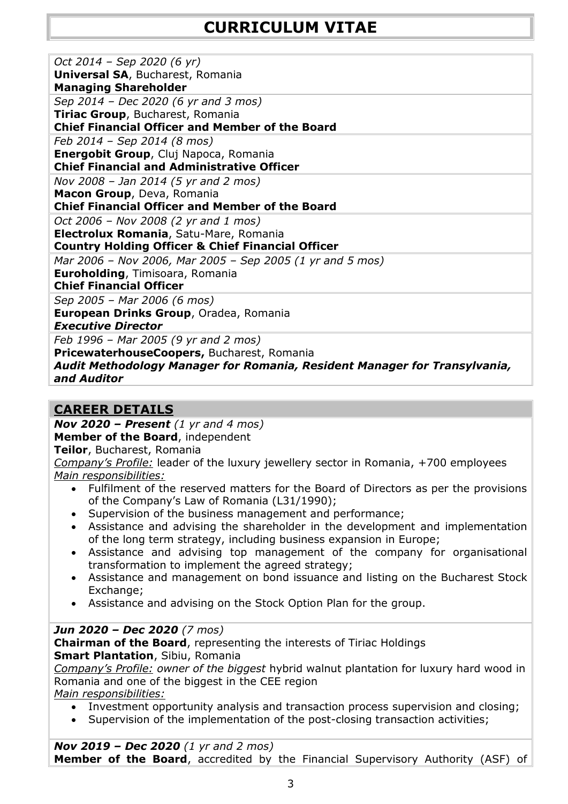| Oct 2014 - Sep 2020 (6 yr)                                                |
|---------------------------------------------------------------------------|
| <b>Universal SA, Bucharest, Romania</b>                                   |
| <b>Managing Shareholder</b>                                               |
| Sep 2014 - Dec 2020 (6 yr and 3 mos)                                      |
| Tiriac Group, Bucharest, Romania                                          |
| <b>Chief Financial Officer and Member of the Board</b>                    |
| Feb 2014 - Sep 2014 (8 mos)                                               |
| Energobit Group, Cluj Napoca, Romania                                     |
| <b>Chief Financial and Administrative Officer</b>                         |
| Nov 2008 – Jan 2014 (5 yr and 2 mos)                                      |
| Macon Group, Deva, Romania                                                |
| <b>Chief Financial Officer and Member of the Board</b>                    |
| Oct 2006 - Nov 2008 (2 yr and 1 mos)                                      |
| Electrolux Romania, Satu-Mare, Romania                                    |
| <b>Country Holding Officer &amp; Chief Financial Officer</b>              |
| Mar 2006 - Nov 2006, Mar 2005 - Sep 2005 (1 yr and 5 mos)                 |
| <b>Euroholding, Timisoara, Romania</b>                                    |
| <b>Chief Financial Officer</b>                                            |
| Sep 2005 - Mar 2006 (6 mos)                                               |
| European Drinks Group, Oradea, Romania                                    |
| <b>Executive Director</b>                                                 |
| Feb 1996 - Mar 2005 (9 yr and 2 mos)                                      |
| PricewaterhouseCoopers, Bucharest, Romania                                |
| Audit Methodology Manager for Romania, Resident Manager for Transylvania, |
| and Auditor                                                               |

# **CAREER DETAILS**

*Nov 2020 – Present (1 yr and 4 mos)*

**Member of the Board**, independent

**Teilor**, Bucharest, Romania

*Company's Profile:* leader of the luxury jewellery sector in Romania, +700 employees *Main responsibilities:*

- Fulfilment of the reserved matters for the Board of Directors as per the provisions of the Company's Law of Romania (L31/1990);
- Supervision of the business management and performance;
- Assistance and advising the shareholder in the development and implementation of the long term strategy, including business expansion in Europe;
- Assistance and advising top management of the company for organisational transformation to implement the agreed strategy;
- Assistance and management on bond issuance and listing on the Bucharest Stock Exchange;
- Assistance and advising on the Stock Option Plan for the group.

# *Jun 2020 – Dec 2020 (7 mos)*

**Chairman of the Board**, representing the interests of Tiriac Holdings

**Smart Plantation**, Sibiu, Romania

*Company's Profile: owner of the biggest* hybrid walnut plantation for luxury hard wood in Romania and one of the biggest in the CEE region

*Main responsibilities:*

- Investment opportunity analysis and transaction process supervision and closing;
- Supervision of the implementation of the post-closing transaction activities;

*Nov 2019 – Dec 2020 (1 yr and 2 mos)* **Member of the Board**, accredited by the Financial Supervisory Authority (ASF) of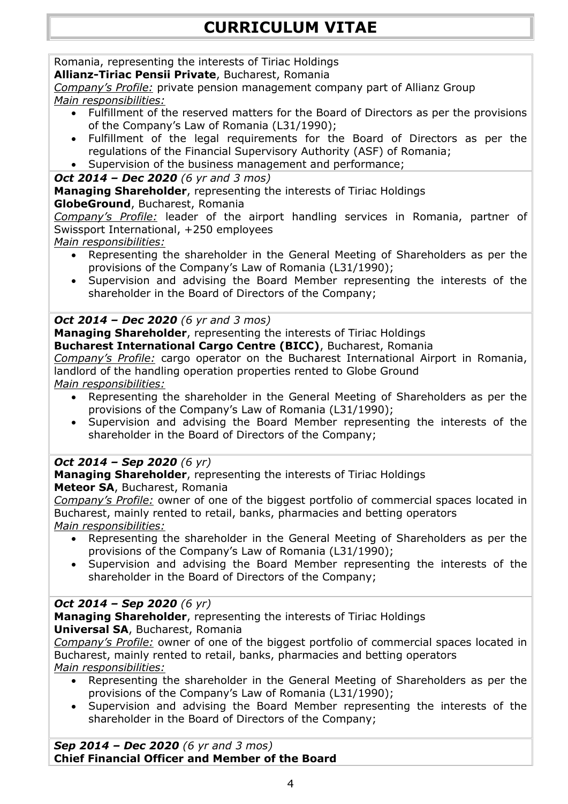# Romania, representing the interests of Tiriac Holdings

**Allianz-Tiriac Pensii Private**, Bucharest, Romania

*Company's Profile:* private pension management company part of Allianz Group *Main responsibilities:*

- Fulfillment of the reserved matters for the Board of Directors as per the provisions of the Company's Law of Romania (L31/1990);
- Fulfillment of the legal requirements for the Board of Directors as per the regulations of the Financial Supervisory Authority (ASF) of Romania;
- Supervision of the business management and performance;

# *Oct 2014 – Dec 2020 (6 yr and 3 mos)*

**Managing Shareholder**, representing the interests of Tiriac Holdings

# **GlobeGround**, Bucharest, Romania

*Company's Profile:* leader of the airport handling services in Romania, partner of Swissport International, +250 employees

*Main responsibilities:*

- Representing the shareholder in the General Meeting of Shareholders as per the provisions of the Company's Law of Romania (L31/1990);
- Supervision and advising the Board Member representing the interests of the shareholder in the Board of Directors of the Company;

# *Oct 2014 – Dec 2020 (6 yr and 3 mos)*

**Managing Shareholder**, representing the interests of Tiriac Holdings **Bucharest International Cargo Centre (BICC)**, Bucharest, Romania

*Company's Profile:* cargo operator on the Bucharest International Airport in Romania, landlord of the handling operation properties rented to Globe Ground

#### *Main responsibilities:*

- Representing the shareholder in the General Meeting of Shareholders as per the provisions of the Company's Law of Romania (L31/1990);
- Supervision and advising the Board Member representing the interests of the shareholder in the Board of Directors of the Company;

# *Oct 2014 – Sep 2020 (6 yr)*

**Managing Shareholder**, representing the interests of Tiriac Holdings

**Meteor SA**, Bucharest, Romania

*Company's Profile:* owner of one of the biggest portfolio of commercial spaces located in Bucharest, mainly rented to retail, banks, pharmacies and betting operators *Main responsibilities:*

- Representing the shareholder in the General Meeting of Shareholders as per the provisions of the Company's Law of Romania (L31/1990);
- Supervision and advising the Board Member representing the interests of the shareholder in the Board of Directors of the Company;

# *Oct 2014 – Sep 2020 (6 yr)*

**Managing Shareholder**, representing the interests of Tiriac Holdings **Universal SA**, Bucharest, Romania

*Company's Profile:* owner of one of the biggest portfolio of commercial spaces located in Bucharest, mainly rented to retail, banks, pharmacies and betting operators *Main responsibilities:*

- Representing the shareholder in the General Meeting of Shareholders as per the provisions of the Company's Law of Romania (L31/1990);
- Supervision and advising the Board Member representing the interests of the shareholder in the Board of Directors of the Company;

*Sep 2014 – Dec 2020 (6 yr and 3 mos)* **Chief Financial Officer and Member of the Board**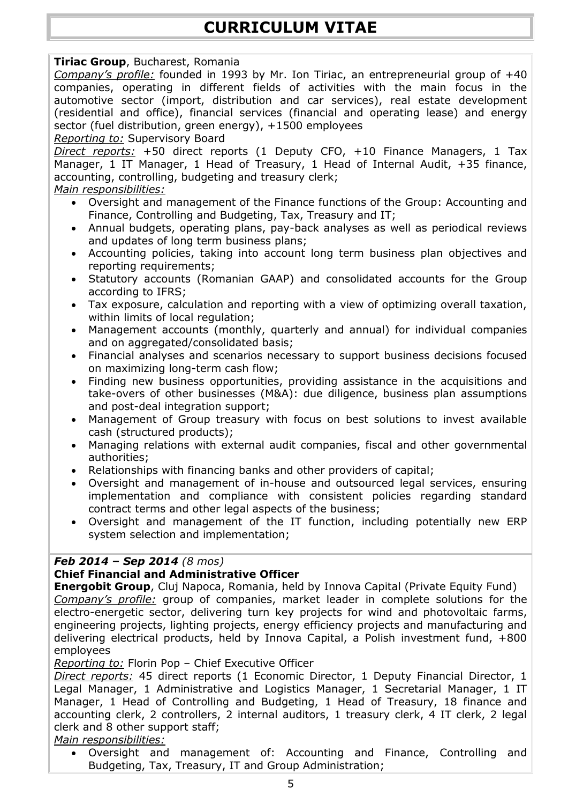# **Tiriac Group**, Bucharest, Romania

*Company's profile:* founded in 1993 by Mr. Ion Tiriac, an entrepreneurial group of +40 companies, operating in different fields of activities with the main focus in the automotive sector (import, distribution and car services), real estate development (residential and office), financial services (financial and operating lease) and energy sector (fuel distribution, green energy), +1500 employees *Reporting to:* Supervisory Board

*Direct reports:* +50 direct reports (1 Deputy CFO, +10 Finance Managers, 1 Tax Manager, 1 IT Manager, 1 Head of Treasury, 1 Head of Internal Audit, +35 finance, accounting, controlling, budgeting and treasury clerk;

# *Main responsibilities:*

- Oversight and management of the Finance functions of the Group: Accounting and Finance, Controlling and Budgeting, Tax, Treasury and IT;
- Annual budgets, operating plans, pay-back analyses as well as periodical reviews and updates of long term business plans;
- Accounting policies, taking into account long term business plan objectives and reporting requirements;
- Statutory accounts (Romanian GAAP) and consolidated accounts for the Group according to IFRS;
- Tax exposure, calculation and reporting with a view of optimizing overall taxation, within limits of local regulation;
- Management accounts (monthly, quarterly and annual) for individual companies and on aggregated/consolidated basis;
- Financial analyses and scenarios necessary to support business decisions focused on maximizing long-term cash flow;
- Finding new business opportunities, providing assistance in the acquisitions and take-overs of other businesses (M&A): due diligence, business plan assumptions and post-deal integration support;
- Management of Group treasury with focus on best solutions to invest available cash (structured products);
- Managing relations with external audit companies, fiscal and other governmental authorities;
- Relationships with financing banks and other providers of capital;
- Oversight and management of in-house and outsourced legal services, ensuring implementation and compliance with consistent policies regarding standard contract terms and other legal aspects of the business;
- Oversight and management of the IT function, including potentially new ERP system selection and implementation;

# *Feb 2014 – Sep 2014 (8 mos)*

# **Chief Financial and Administrative Officer**

**Energobit Group**, Cluj Napoca, Romania, held by Innova Capital (Private Equity Fund) *Company's profile:* group of companies, market leader in complete solutions for the electro-energetic sector, delivering turn key projects for wind and photovoltaic farms, engineering projects, lighting projects, energy efficiency projects and manufacturing and delivering electrical products, held by Innova Capital, a Polish investment fund, +800 employees

*Reporting to:* Florin Pop – Chief Executive Officer

*Direct reports:* 45 direct reports (1 Economic Director, 1 Deputy Financial Director, 1 Legal Manager, 1 Administrative and Logistics Manager, 1 Secretarial Manager, 1 IT Manager, 1 Head of Controlling and Budgeting, 1 Head of Treasury, 18 finance and accounting clerk, 2 controllers, 2 internal auditors, 1 treasury clerk, 4 IT clerk, 2 legal clerk and 8 other support staff;

*Main responsibilities:*

 Oversight and management of: Accounting and Finance, Controlling and Budgeting, Tax, Treasury, IT and Group Administration;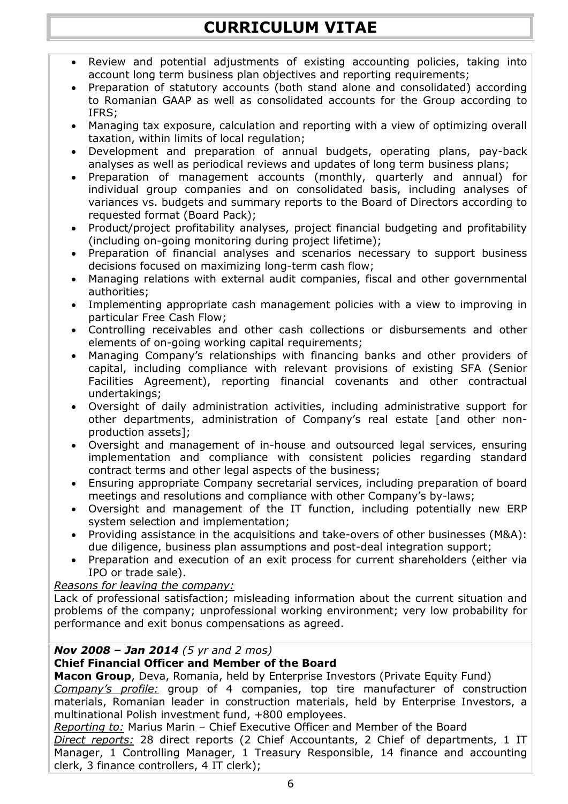- Review and potential adjustments of existing accounting policies, taking into account long term business plan objectives and reporting requirements;
- Preparation of statutory accounts (both stand alone and consolidated) according to Romanian GAAP as well as consolidated accounts for the Group according to IFRS;
- Managing tax exposure, calculation and reporting with a view of optimizing overall taxation, within limits of local regulation;
- Development and preparation of annual budgets, operating plans, pay-back analyses as well as periodical reviews and updates of long term business plans;
- Preparation of management accounts (monthly, quarterly and annual) for individual group companies and on consolidated basis, including analyses of variances vs. budgets and summary reports to the Board of Directors according to requested format (Board Pack);
- Product/project profitability analyses, project financial budgeting and profitability (including on-going monitoring during project lifetime);
- Preparation of financial analyses and scenarios necessary to support business decisions focused on maximizing long-term cash flow;
- Managing relations with external audit companies, fiscal and other governmental authorities;
- Implementing appropriate cash management policies with a view to improving in particular Free Cash Flow;
- Controlling receivables and other cash collections or disbursements and other elements of on-going working capital requirements;
- Managing Company's relationships with financing banks and other providers of capital, including compliance with relevant provisions of existing SFA (Senior Facilities Agreement), reporting financial covenants and other contractual undertakings;
- Oversight of daily administration activities, including administrative support for other departments, administration of Company's real estate [and other nonproduction assets];
- Oversight and management of in-house and outsourced legal services, ensuring implementation and compliance with consistent policies regarding standard contract terms and other legal aspects of the business;
- Ensuring appropriate Company secretarial services, including preparation of board meetings and resolutions and compliance with other Company's by-laws;
- Oversight and management of the IT function, including potentially new ERP system selection and implementation;
- Providing assistance in the acquisitions and take-overs of other businesses (M&A): due diligence, business plan assumptions and post-deal integration support;
- Preparation and execution of an exit process for current shareholders (either via IPO or trade sale).

# *Reasons for leaving the company:*

Lack of professional satisfaction; misleading information about the current situation and problems of the company; unprofessional working environment; very low probability for performance and exit bonus compensations as agreed.

#### *Nov 2008 – Jan 2014 (5 yr and 2 mos)*

# **Chief Financial Officer and Member of the Board**

**Macon Group**, Deva, Romania, held by Enterprise Investors (Private Equity Fund)

*Company's profile:* group of 4 companies, top tire manufacturer of construction materials, Romanian leader in construction materials, held by Enterprise Investors, a multinational Polish investment fund, +800 employees.

*Reporting to:* Marius Marin – Chief Executive Officer and Member of the Board *Direct reports:* 28 direct reports (2 Chief Accountants, 2 Chief of departments, 1 IT Manager, 1 Controlling Manager, 1 Treasury Responsible, 14 finance and accounting clerk, 3 finance controllers, 4 IT clerk);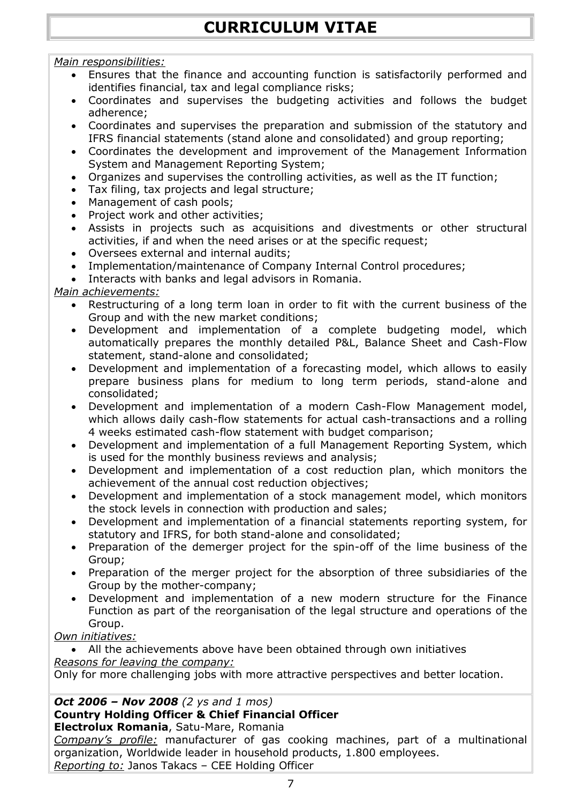# *Main responsibilities:*

- Ensures that the finance and accounting function is satisfactorily performed and identifies financial, tax and legal compliance risks;
- Coordinates and supervises the budgeting activities and follows the budget adherence;
- Coordinates and supervises the preparation and submission of the statutory and IFRS financial statements (stand alone and consolidated) and group reporting;
- Coordinates the development and improvement of the Management Information System and Management Reporting System;
- Organizes and supervises the controlling activities, as well as the IT function;
- Tax filing, tax projects and legal structure;
- Management of cash pools;
- Project work and other activities;
- Assists in projects such as acquisitions and divestments or other structural activities, if and when the need arises or at the specific request;
- Oversees external and internal audits;
- Implementation/maintenance of Company Internal Control procedures;
- Interacts with banks and legal advisors in Romania.

# *Main achievements:*

- Restructuring of a long term loan in order to fit with the current business of the Group and with the new market conditions;
- Development and implementation of a complete budgeting model, which automatically prepares the monthly detailed P&L, Balance Sheet and Cash-Flow statement, stand-alone and consolidated;
- Development and implementation of a forecasting model, which allows to easily prepare business plans for medium to long term periods, stand-alone and consolidated;
- Development and implementation of a modern Cash-Flow Management model, which allows daily cash-flow statements for actual cash-transactions and a rolling 4 weeks estimated cash-flow statement with budget comparison;
- Development and implementation of a full Management Reporting System, which is used for the monthly business reviews and analysis;
- Development and implementation of a cost reduction plan, which monitors the achievement of the annual cost reduction objectives;
- Development and implementation of a stock management model, which monitors the stock levels in connection with production and sales;
- Development and implementation of a financial statements reporting system, for statutory and IFRS, for both stand-alone and consolidated;
- Preparation of the demerger project for the spin-off of the lime business of the Group;
- Preparation of the merger project for the absorption of three subsidiaries of the Group by the mother-company;
- Development and implementation of a new modern structure for the Finance Function as part of the reorganisation of the legal structure and operations of the Group.

*Own initiatives:*

 All the achievements above have been obtained through own initiatives *Reasons for leaving the company:*

Only for more challenging jobs with more attractive perspectives and better location.

# *Oct 2006 – Nov 2008 (2 ys and 1 mos)*

# **Country Holding Officer & Chief Financial Officer**

**Electrolux Romania**, Satu-Mare, Romania

*Company's profile:* manufacturer of gas cooking machines, part of a multinational organization, Worldwide leader in household products, 1.800 employees. *Reporting to:* Janos Takacs – CEE Holding Officer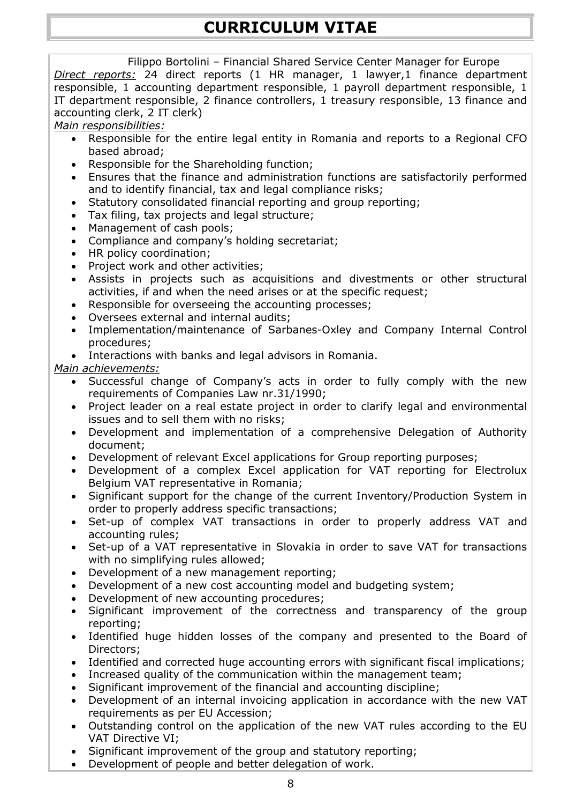Filippo Bortolini – Financial Shared Service Center Manager for Europe *Direct reports:* 24 direct reports (1 HR manager, 1 lawyer,1 finance department responsible, 1 accounting department responsible, 1 payroll department responsible, 1 IT department responsible, 2 finance controllers, 1 treasury responsible, 13 finance and accounting clerk, 2 IT clerk)

#### *Main responsibilities:*

- Responsible for the entire legal entity in Romania and reports to a Regional CFO based abroad;
- Responsible for the Shareholding function:
- Ensures that the finance and administration functions are satisfactorily performed and to identify financial, tax and legal compliance risks;
- Statutory consolidated financial reporting and group reporting;
- Tax filing, tax projects and legal structure;
- Management of cash pools;
- Compliance and company's holding secretariat;
- HR policy coordination;
- Project work and other activities;
- Assists in projects such as acquisitions and divestments or other structural activities, if and when the need arises or at the specific request;
- Responsible for overseeing the accounting processes;
- Oversees external and internal audits;
- Implementation/maintenance of Sarbanes-Oxley and Company Internal Control procedures;
- Interactions with banks and legal advisors in Romania.

#### *Main achievements:*

- Successful change of Company's acts in order to fully comply with the new requirements of Companies Law nr.31/1990;
- Project leader on a real estate project in order to clarify legal and environmental issues and to sell them with no risks;
- Development and implementation of a comprehensive Delegation of Authority document;
- Development of relevant Excel applications for Group reporting purposes;
- Development of a complex Excel application for VAT reporting for Electrolux Belgium VAT representative in Romania;
- Significant support for the change of the current Inventory/Production System in order to properly address specific transactions;
- Set-up of complex VAT transactions in order to properly address VAT and accounting rules;
- Set-up of a VAT representative in Slovakia in order to save VAT for transactions with no simplifying rules allowed;
- Development of a new management reporting;
- Development of a new cost accounting model and budgeting system;
- Development of new accounting procedures;
- Significant improvement of the correctness and transparency of the group reporting;
- Identified huge hidden losses of the company and presented to the Board of Directors;
- Identified and corrected huge accounting errors with significant fiscal implications;
- Increased quality of the communication within the management team;
- Significant improvement of the financial and accounting discipline;
- Development of an internal invoicing application in accordance with the new VAT requirements as per EU Accession;
- Outstanding control on the application of the new VAT rules according to the EU VAT Directive VI;
- Significant improvement of the group and statutory reporting;
- Development of people and better delegation of work.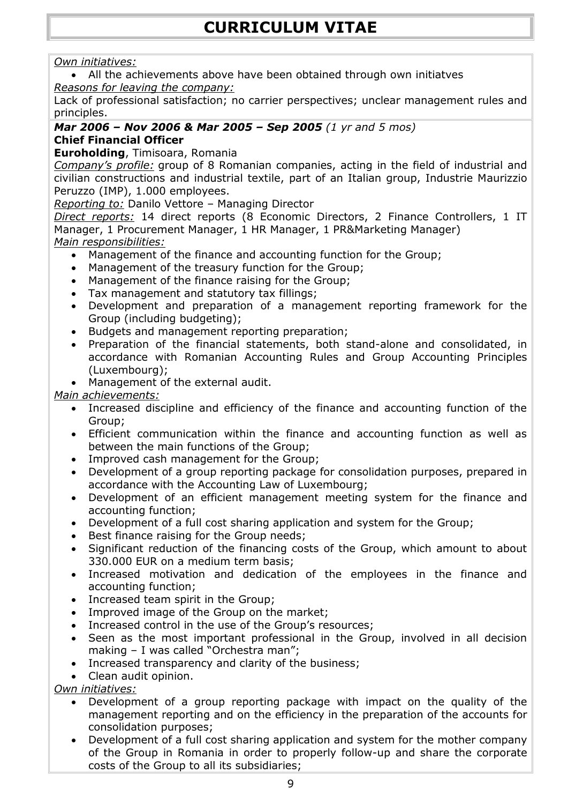# *Own initiatives:*

 All the achievements above have been obtained through own initiatves *Reasons for leaving the company:*

Lack of professional satisfaction; no carrier perspectives; unclear management rules and principles.

#### *Mar 2006 – Nov 2006 & Mar 2005 – Sep 2005 (1 yr and 5 mos)* **Chief Financial Officer**

**Euroholding**, Timisoara, Romania

*Company's profile:* group of 8 Romanian companies, acting in the field of industrial and civilian constructions and industrial textile, part of an Italian group, Industrie Maurizzio Peruzzo (IMP), 1.000 employees.

*Reporting to:* Danilo Vettore – Managing Director

*Direct reports:* 14 direct reports (8 Economic Directors, 2 Finance Controllers, 1 IT Manager, 1 Procurement Manager, 1 HR Manager, 1 PR&Marketing Manager) *Main responsibilities:*

- Management of the finance and accounting function for the Group;
- Management of the treasury function for the Group;
- Management of the finance raising for the Group;
- Tax management and statutory tax fillings;
- Development and preparation of a management reporting framework for the Group (including budgeting);
- Budgets and management reporting preparation;
- Preparation of the financial statements, both stand-alone and consolidated, in accordance with Romanian Accounting Rules and Group Accounting Principles (Luxembourg);
- Management of the external audit.

*Main achievements:*

- Increased discipline and efficiency of the finance and accounting function of the Group;
- Efficient communication within the finance and accounting function as well as between the main functions of the Group;
- Improved cash management for the Group;
- Development of a group reporting package for consolidation purposes, prepared in accordance with the Accounting Law of Luxembourg;
- Development of an efficient management meeting system for the finance and accounting function;
- Development of a full cost sharing application and system for the Group;
- Best finance raising for the Group needs;
- Significant reduction of the financing costs of the Group, which amount to about 330.000 EUR on a medium term basis;
- Increased motivation and dedication of the employees in the finance and accounting function;
- Increased team spirit in the Group;
- Improved image of the Group on the market;
- Increased control in the use of the Group's resources;
- Seen as the most important professional in the Group, involved in all decision making – I was called "Orchestra man";
- Increased transparency and clarity of the business;
- Clean audit opinion.

*Own initiatives:*

- Development of a group reporting package with impact on the quality of the management reporting and on the efficiency in the preparation of the accounts for consolidation purposes;
- Development of a full cost sharing application and system for the mother company of the Group in Romania in order to properly follow-up and share the corporate costs of the Group to all its subsidiaries;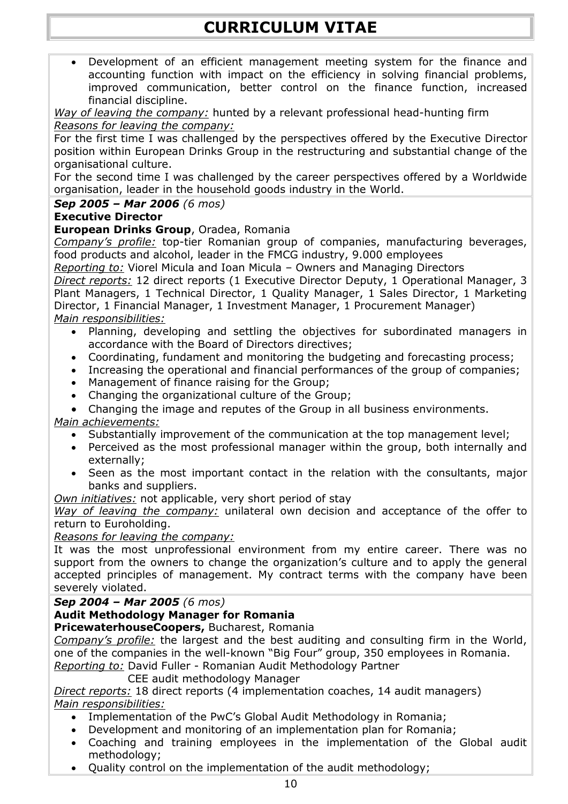Development of an efficient management meeting system for the finance and accounting function with impact on the efficiency in solving financial problems, improved communication, better control on the finance function, increased financial discipline.

*Way of leaving the company:* hunted by a relevant professional head-hunting firm *Reasons for leaving the company:*

For the first time I was challenged by the perspectives offered by the Executive Director position within European Drinks Group in the restructuring and substantial change of the organisational culture.

For the second time I was challenged by the career perspectives offered by a Worldwide organisation, leader in the household goods industry in the World.

## *Sep 2005 – Mar 2006 (6 mos)*

#### **Executive Director**

#### **European Drinks Group**, Oradea, Romania

*Company's profile:* top-tier Romanian group of companies, manufacturing beverages, food products and alcohol, leader in the FMCG industry, 9.000 employees

*Reporting to:* Viorel Micula and Ioan Micula – Owners and Managing Directors

*Direct reports:* 12 direct reports (1 Executive Director Deputy, 1 Operational Manager, 3 Plant Managers, 1 Technical Director, 1 Quality Manager, 1 Sales Director, 1 Marketing Director, 1 Financial Manager, 1 Investment Manager, 1 Procurement Manager) *Main responsibilities:*

- Planning, developing and settling the objectives for subordinated managers in accordance with the Board of Directors directives;
- Coordinating, fundament and monitoring the budgeting and forecasting process;
- Increasing the operational and financial performances of the group of companies;
- Management of finance raising for the Group;
- Changing the organizational culture of the Group;
- Changing the image and reputes of the Group in all business environments.

#### *Main achievements:*

- Substantially improvement of the communication at the top management level;
- Perceived as the most professional manager within the group, both internally and externally;
- Seen as the most important contact in the relation with the consultants, major banks and suppliers.
- *Own initiatives:* not applicable, very short period of stay

*Way of leaving the company:* unilateral own decision and acceptance of the offer to return to Euroholding.

#### *Reasons for leaving the company:*

It was the most unprofessional environment from my entire career. There was no support from the owners to change the organization's culture and to apply the general accepted principles of management. My contract terms with the company have been severely violated.

*Sep 2004 – Mar 2005 (6 mos)*

# **Audit Methodology Manager for Romania**

# **PricewaterhouseCoopers,** Bucharest, Romania

*Company's profile:* the largest and the best auditing and consulting firm in the World, one of the companies in the well-known "Big Four" group, 350 employees in Romania. *Reporting to:* David Fuller - Romanian Audit Methodology Partner

CEE audit methodology Manager

*Direct reports:* 18 direct reports (4 implementation coaches, 14 audit managers) *Main responsibilities:*

- Implementation of the PwC's Global Audit Methodology in Romania;
- Development and monitoring of an implementation plan for Romania;
- Coaching and training employees in the implementation of the Global audit methodology;
- Quality control on the implementation of the audit methodology;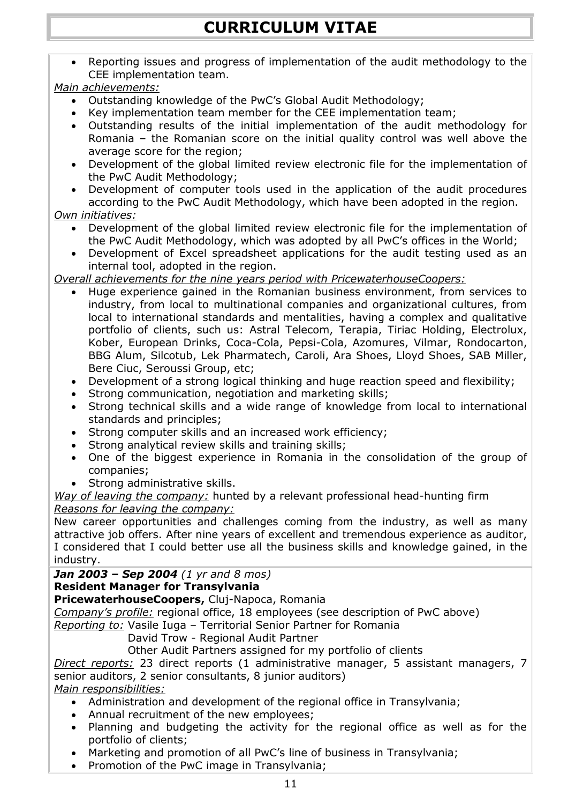Reporting issues and progress of implementation of the audit methodology to the CEE implementation team.

#### *Main achievements:*

- Outstanding knowledge of the PwC's Global Audit Methodology;
- Key implementation team member for the CEE implementation team;
- Outstanding results of the initial implementation of the audit methodology for Romania – the Romanian score on the initial quality control was well above the average score for the region;
- Development of the global limited review electronic file for the implementation of the PwC Audit Methodology;
- Development of computer tools used in the application of the audit procedures according to the PwC Audit Methodology, which have been adopted in the region.

#### *Own initiatives:*

- Development of the global limited review electronic file for the implementation of the PwC Audit Methodology, which was adopted by all PwC's offices in the World;
- Development of Excel spreadsheet applications for the audit testing used as an internal tool, adopted in the region.

#### *Overall achievements for the nine years period with PricewaterhouseCoopers:*

- Huge experience gained in the Romanian business environment, from services to industry, from local to multinational companies and organizational cultures, from local to international standards and mentalities, having a complex and qualitative portfolio of clients, such us: Astral Telecom, Terapia, Tiriac Holding, Electrolux, Kober, European Drinks, Coca-Cola, Pepsi-Cola, Azomures, Vilmar, Rondocarton, BBG Alum, Silcotub, Lek Pharmatech, Caroli, Ara Shoes, Lloyd Shoes, SAB Miller, Bere Ciuc, Seroussi Group, etc;
- Development of a strong logical thinking and huge reaction speed and flexibility;
- Strong communication, negotiation and marketing skills;
- Strong technical skills and a wide range of knowledge from local to international standards and principles;
- Strong computer skills and an increased work efficiency;
- Strong analytical review skills and training skills;
- One of the biggest experience in Romania in the consolidation of the group of companies;
- Strong administrative skills.

#### *Way of leaving the company:* hunted by a relevant professional head-hunting firm *Reasons for leaving the company:*

New career opportunities and challenges coming from the industry, as well as many attractive job offers. After nine years of excellent and tremendous experience as auditor, I considered that I could better use all the business skills and knowledge gained, in the industry.

# *Jan 2003 – Sep 2004 (1 yr and 8 mos)*

# **Resident Manager for Transylvania**

**PricewaterhouseCoopers,** Cluj-Napoca, Romania

*Company's profile:* regional office, 18 employees (see description of PwC above)

*Reporting to:* Vasile Iuga – Territorial Senior Partner for Romania

David Trow - Regional Audit Partner

Other Audit Partners assigned for my portfolio of clients

*Direct reports:* 23 direct reports (1 administrative manager, 5 assistant managers, 7 senior auditors, 2 senior consultants, 8 junior auditors)

#### *Main responsibilities:*

- Administration and development of the regional office in Transylvania;
- Annual recruitment of the new employees;
- Planning and budgeting the activity for the regional office as well as for the portfolio of clients;
- Marketing and promotion of all PwC's line of business in Transylvania;
- Promotion of the PwC image in Transylvania;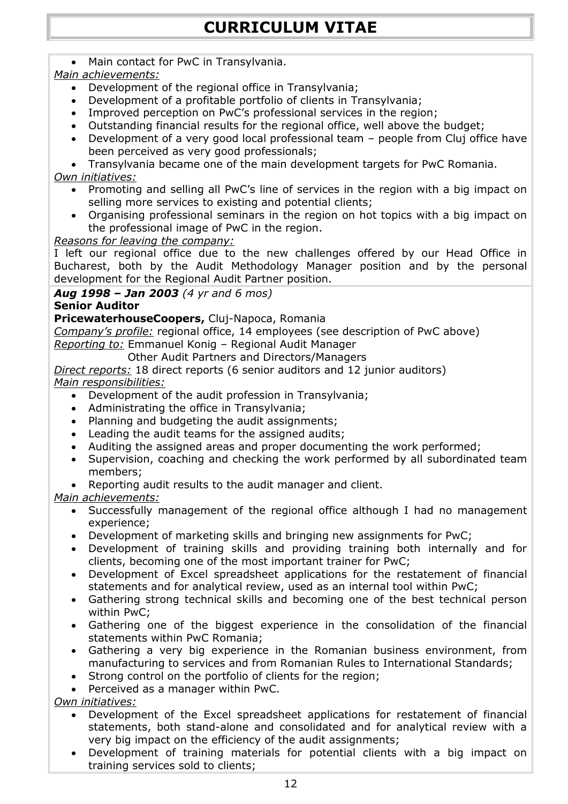Main contact for PwC in Transylvania.

# *Main achievements:*

- Development of the regional office in Transylvania;
- Development of a profitable portfolio of clients in Transylvania;
- Improved perception on PwC's professional services in the region;
- Outstanding financial results for the regional office, well above the budget;
- Development of a very good local professional team people from Cluj office have been perceived as very good professionals;
- Transylvania became one of the main development targets for PwC Romania.

# *Own initiatives:*

- Promoting and selling all PwC's line of services in the region with a big impact on selling more services to existing and potential clients;
- Organising professional seminars in the region on hot topics with a big impact on the professional image of PwC in the region.

# *Reasons for leaving the company:*

I left our regional office due to the new challenges offered by our Head Office in Bucharest, both by the Audit Methodology Manager position and by the personal development for the Regional Audit Partner position.

# *Aug 1998 – Jan 2003 (4 yr and 6 mos)*

# **Senior Auditor**

**PricewaterhouseCoopers,** Cluj-Napoca, Romania

*Company's profile:* regional office, 14 employees (see description of PwC above)

*Reporting to:* Emmanuel Konig – Regional Audit Manager

Other Audit Partners and Directors/Managers

*Direct reports:* 18 direct reports (6 senior auditors and 12 junior auditors) *Main responsibilities:*

- Development of the audit profession in Transylvania;
- Administrating the office in Transylvania;
- Planning and budgeting the audit assignments;
- Leading the audit teams for the assigned audits;
- Auditing the assigned areas and proper documenting the work performed;
- Supervision, coaching and checking the work performed by all subordinated team members;
- Reporting audit results to the audit manager and client.

# *Main achievements:*

- Successfully management of the regional office although I had no management experience;
- Development of marketing skills and bringing new assignments for PwC;
- Development of training skills and providing training both internally and for clients, becoming one of the most important trainer for PwC;
- Development of Excel spreadsheet applications for the restatement of financial statements and for analytical review, used as an internal tool within PwC;
- Gathering strong technical skills and becoming one of the best technical person within PwC;
- Gathering one of the biggest experience in the consolidation of the financial statements within PwC Romania;
- Gathering a very big experience in the Romanian business environment, from manufacturing to services and from Romanian Rules to International Standards;
- Strong control on the portfolio of clients for the region;
- Perceived as a manager within PwC.

*Own initiatives:*

- Development of the Excel spreadsheet applications for restatement of financial statements, both stand-alone and consolidated and for analytical review with a very big impact on the efficiency of the audit assignments;
- Development of training materials for potential clients with a big impact on training services sold to clients;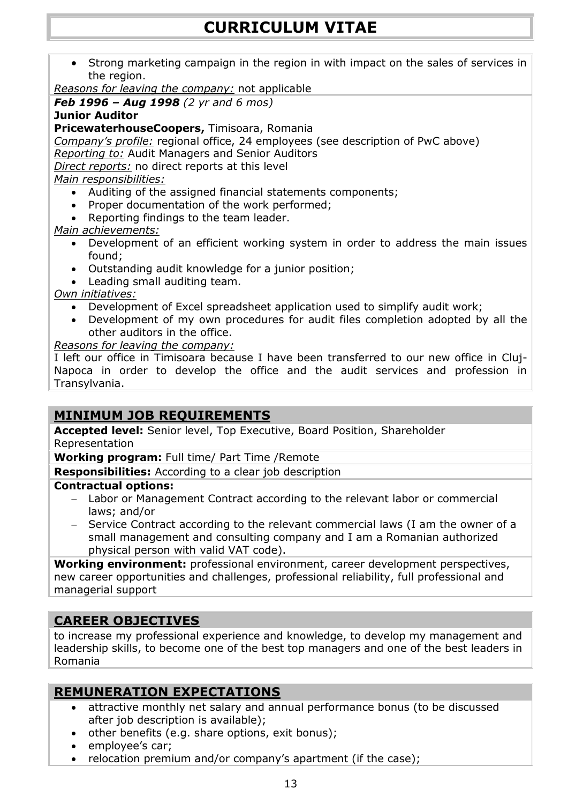Strong marketing campaign in the region in with impact on the sales of services in the region.

*Reasons for leaving the company:* not applicable

*Feb 1996 – Aug 1998 (2 yr and 6 mos)*

**Junior Auditor**

**PricewaterhouseCoopers,** Timisoara, Romania

*Company's profile:* regional office, 24 employees (see description of PwC above) *Reporting to:* Audit Managers and Senior Auditors

*Direct reports:* no direct reports at this level

*Main responsibilities:*

- Auditing of the assigned financial statements components;
- Proper documentation of the work performed;
- Reporting findings to the team leader.

*Main achievements:*

- Development of an efficient working system in order to address the main issues found;
- Outstanding audit knowledge for a junior position;
- Leading small auditing team.

*Own initiatives:*

- Development of Excel spreadsheet application used to simplify audit work;
- Development of my own procedures for audit files completion adopted by all the other auditors in the office.

*Reasons for leaving the company:*

I left our office in Timisoara because I have been transferred to our new office in Cluj-Napoca in order to develop the office and the audit services and profession in Transylvania.

# **MINIMUM JOB REQUIREMENTS**

**Accepted level:** Senior level, Top Executive, Board Position, Shareholder Representation

**Working program:** Full time/ Part Time /Remote

**Responsibilities:** According to a clear job description

#### **Contractual options:**

- Labor or Management Contract according to the relevant labor or commercial laws; and/or
- Service Contract according to the relevant commercial laws (I am the owner of a small management and consulting company and I am a Romanian authorized physical person with valid VAT code).

**Working environment:** professional environment, career development perspectives, new career opportunities and challenges, professional reliability, full professional and managerial support

# **CAREER OBJECTIVES**

to increase my professional experience and knowledge, to develop my management and leadership skills, to become one of the best top managers and one of the best leaders in Romania

# **REMUNERATION EXPECTATIONS**

- attractive monthly net salary and annual performance bonus (to be discussed after job description is available);
- other benefits (e.g. share options, exit bonus);
- employee's car;
- relocation premium and/or company's apartment (if the case);